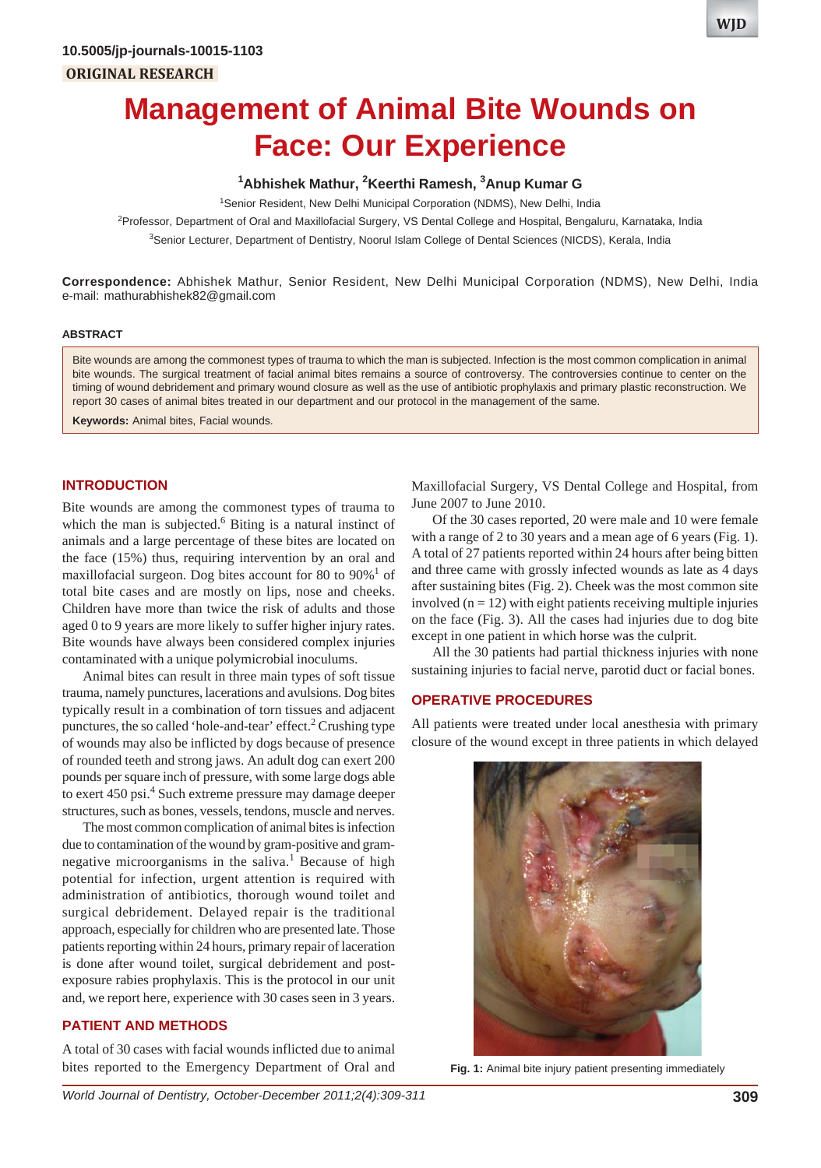

# **Management of Animal Bite Wounds on Face: Our Experience**

## **1 Abhishek Mathur, 2 Keerthi Ramesh, 3 Anup Kumar G**

<sup>1</sup>Senior Resident, New Delhi Municipal Corporation (NDMS), New Delhi, India

2 Professor, Department of Oral and Maxillofacial Surgery, VS Dental College and Hospital, Bengaluru, Karnataka, India <sup>3</sup>Senior Lecturer, Department of Dentistry, Noorul Islam College of Dental Sciences (NICDS), Kerala, India

**Correspondence:** Abhishek Mathur, Senior Resident, New Delhi Municipal Corporation (NDMS), New Delhi, India e-mail: mathurabhishek82@gmail.com

#### **ABSTRACT**

Bite wounds are among the commonest types of trauma to which the man is subjected. Infection is the most common complication in animal bite wounds. The surgical treatment of facial animal bites remains a source of controversy. The controversies continue to center on the timing of wound debridement and primary wound closure as well as the use of antibiotic prophylaxis and primary plastic reconstruction. We report 30 cases of animal bites treated in our department and our protocol in the management of the same.

**Keywords:** Animal bites, Facial wounds.

# **INTRODUCTION**

Bite wounds are among the commonest types of trauma to which the man is subjected. $6$  Biting is a natural instinct of animals and a large percentage of these bites are located on the face (15%) thus, requiring intervention by an oral and maxillofacial surgeon. Dog bites account for 80 to  $90\%$ <sup>1</sup> of total bite cases and are mostly on lips, nose and cheeks. Children have more than twice the risk of adults and those aged 0 to 9 years are more likely to suffer higher injury rates. Bite wounds have always been considered complex injuries contaminated with a unique polymicrobial inoculums.

Animal bites can result in three main types of soft tissue trauma, namely punctures, lacerations and avulsions. Dog bites typically result in a combination of torn tissues and adjacent punctures, the so called 'hole-and-tear' effect.<sup>2</sup> Crushing type of wounds may also be inflicted by dogs because of presence of rounded teeth and strong jaws. An adult dog can exert 200 pounds per square inch of pressure, with some large dogs able to exert 450 psi.<sup>4</sup> Such extreme pressure may damage deeper structures, such as bones, vessels, tendons, muscle and nerves.

The most common complication of animal bites is infection due to contamination of the wound by gram-positive and gramnegative microorganisms in the saliva.<sup>1</sup> Because of high potential for infection, urgent attention is required with administration of antibiotics, thorough wound toilet and surgical debridement. Delayed repair is the traditional approach, especially for children who are presented late. Those patients reporting within 24 hours, primary repair of laceration is done after wound toilet, surgical debridement and postexposure rabies prophylaxis. This is the protocol in our unit and, we report here, experience with 30 cases seen in 3 years.

## **PATIENT AND METHODS**

A total of 30 cases with facial wounds inflicted due to animal bites reported to the Emergency Department of Oral and Maxillofacial Surgery, VS Dental College and Hospital, from June 2007 to June 2010.

Of the 30 cases reported, 20 were male and 10 were female with a range of 2 to 30 years and a mean age of 6 years (Fig. 1). A total of 27 patients reported within 24 hours after being bitten and three came with grossly infected wounds as late as 4 days after sustaining bites (Fig. 2). Cheek was the most common site involved  $(n = 12)$  with eight patients receiving multiple injuries on the face (Fig. 3). All the cases had injuries due to dog bite except in one patient in which horse was the culprit.

All the 30 patients had partial thickness injuries with none sustaining injuries to facial nerve, parotid duct or facial bones.

#### **OPERATIVE PROCEDURES**

All patients were treated under local anesthesia with primary closure of the wound except in three patients in which delayed



**Fig. 1:** Animal bite injury patient presenting immediately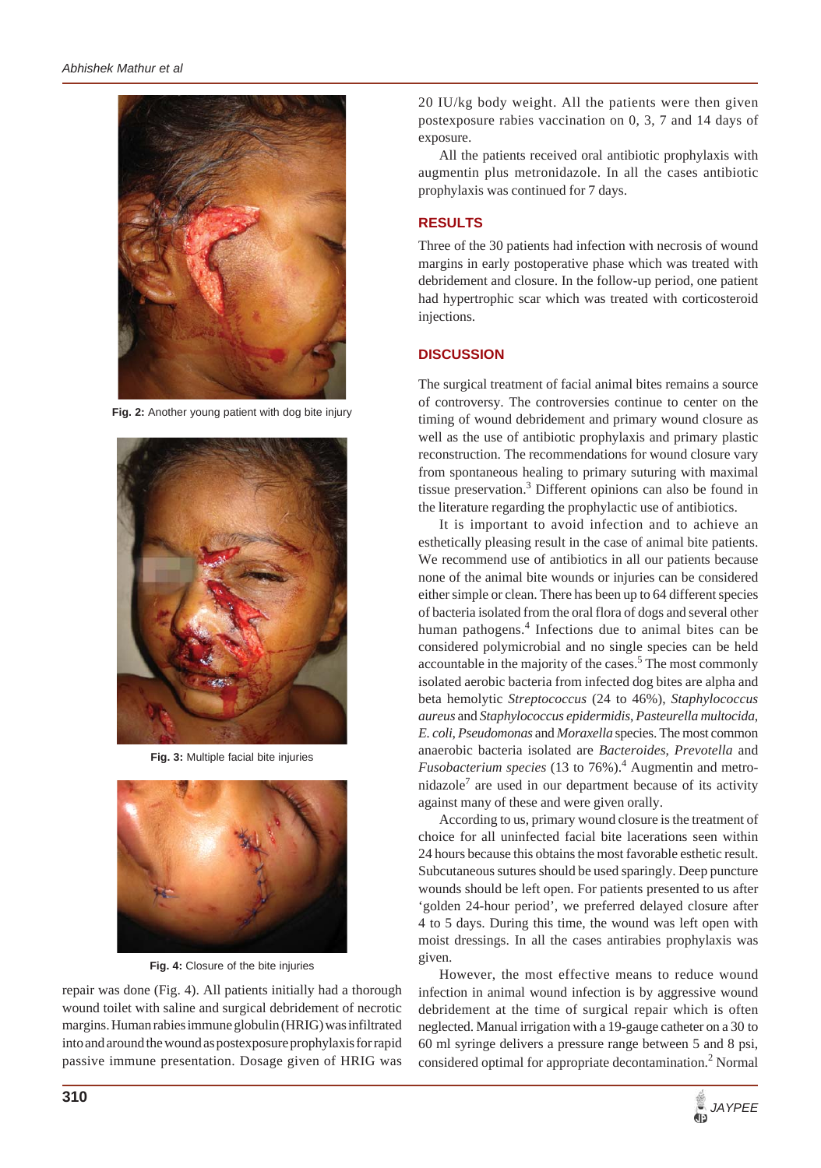

**Fig. 2:** Another young patient with dog bite injury



**Fig. 3:** Multiple facial bite injuries



**Fig. 4:** Closure of the bite injuries

repair was done (Fig. 4). All patients initially had a thorough wound toilet with saline and surgical debridement of necrotic margins. Human rabies immune globulin (HRIG) was infiltrated into and around the wound as postexposure prophylaxis for rapid passive immune presentation. Dosage given of HRIG was 20 IU/kg body weight. All the patients were then given postexposure rabies vaccination on 0, 3, 7 and 14 days of exposure.

All the patients received oral antibiotic prophylaxis with augmentin plus metronidazole. In all the cases antibiotic prophylaxis was continued for 7 days.

## **RESULTS**

Three of the 30 patients had infection with necrosis of wound margins in early postoperative phase which was treated with debridement and closure. In the follow-up period, one patient had hypertrophic scar which was treated with corticosteroid injections.

## **DISCUSSION**

The surgical treatment of facial animal bites remains a source of controversy. The controversies continue to center on the timing of wound debridement and primary wound closure as well as the use of antibiotic prophylaxis and primary plastic reconstruction. The recommendations for wound closure vary from spontaneous healing to primary suturing with maximal tissue preservation.<sup>3</sup> Different opinions can also be found in the literature regarding the prophylactic use of antibiotics.

It is important to avoid infection and to achieve an esthetically pleasing result in the case of animal bite patients. We recommend use of antibiotics in all our patients because none of the animal bite wounds or injuries can be considered either simple or clean. There has been up to 64 different species of bacteria isolated from the oral flora of dogs and several other human pathogens.<sup>4</sup> Infections due to animal bites can be considered polymicrobial and no single species can be held accountable in the majority of the cases.<sup>5</sup> The most commonly isolated aerobic bacteria from infected dog bites are alpha and beta hemolytic *Streptococcus* (24 to 46%), *Staphylococcus aureus* and *Staphylococcus epidermidis*, *Pasteurella multocida*, *E. coli*, *Pseudomonas* and *Moraxella* species. The most common anaerobic bacteria isolated are *Bacteroides*, *Prevotella* and *Fusobacterium species* (13 to 76%).4 Augmentin and metro $nidazole<sup>7</sup>$  are used in our department because of its activity against many of these and were given orally.

According to us, primary wound closure is the treatment of choice for all uninfected facial bite lacerations seen within 24 hours because this obtains the most favorable esthetic result. Subcutaneous sutures should be used sparingly. Deep puncture wounds should be left open. For patients presented to us after 'golden 24-hour period', we preferred delayed closure after 4 to 5 days. During this time, the wound was left open with moist dressings. In all the cases antirabies prophylaxis was given.

However, the most effective means to reduce wound infection in animal wound infection is by aggressive wound debridement at the time of surgical repair which is often neglected. Manual irrigation with a 19-gauge catheter on a 30 to 60 ml syringe delivers a pressure range between 5 and 8 psi, considered optimal for appropriate decontamination.<sup>2</sup> Normal